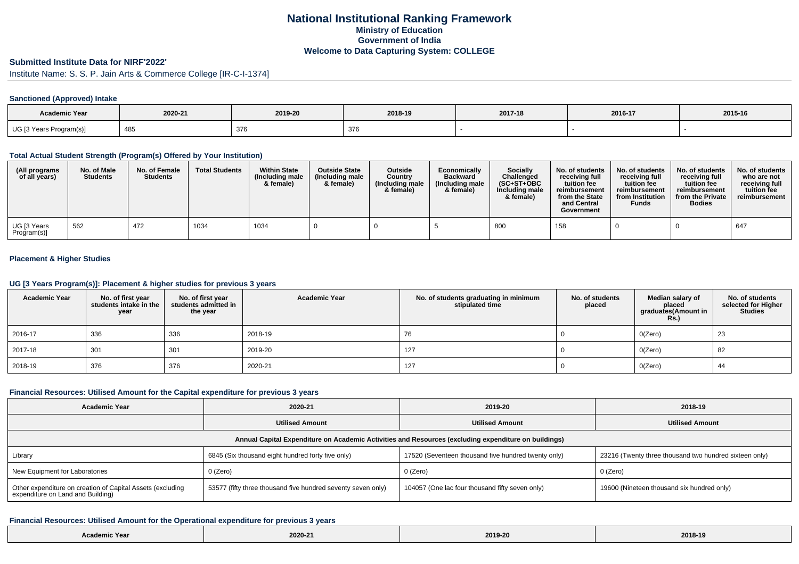# **National Institutional Ranking FrameworkMinistry of Education Government of IndiaWelcome to Data Capturing System: COLLEGE**

## **Submitted Institute Data for NIRF'2022'**

Institute Name: S. S. P. Jain Arts & Commerce College [IR-C-I-1374]

#### **Sanctioned (Approved) Intake**

| <b>Academic Year</b>        |         |            |         |         |         |         |
|-----------------------------|---------|------------|---------|---------|---------|---------|
|                             | 2020-21 | 2019-20    | 2018-19 | 2017-18 | 2016-17 | 2015-16 |
| UG [3 Years I<br>Program(s) | 485     | 376<br>ິ ເ | 376     |         |         |         |

### **Total Actual Student Strength (Program(s) Offered by Your Institution)**

| (All programs<br>of all years) | No. of Male<br><b>Students</b> | No. of Female<br><b>Students</b> | <b>Total Students</b> | <b>Within State</b><br>(Including male)<br>& female) | <b>Outside State</b><br>(Including male<br>& female) | Outside<br>Country<br>(Including male<br>& female) | Economically<br><b>Backward</b><br>(Including male<br>& female) | <b>Socially</b><br>Challenged<br>$(SC+ST+OBC)$<br>Including male<br>& female) | No. of students<br>receivina full<br>tuition fee<br>reimbursement<br>from the State<br>and Central<br>Government | No. of students<br>receiving full<br>tuition fee<br>reimbursement<br>from Institution<br><b>Funds</b> | No. of students<br>receiving full<br>tuition fee<br>reimbursement<br>from the Private<br><b>Bodies</b> | No. of students  <br>who are not<br>receiving full<br>tuition fee<br>reimbursement |
|--------------------------------|--------------------------------|----------------------------------|-----------------------|------------------------------------------------------|------------------------------------------------------|----------------------------------------------------|-----------------------------------------------------------------|-------------------------------------------------------------------------------|------------------------------------------------------------------------------------------------------------------|-------------------------------------------------------------------------------------------------------|--------------------------------------------------------------------------------------------------------|------------------------------------------------------------------------------------|
| UG [3 Years<br>Program(s)]     | 562                            | 472                              | 1034                  | 1034                                                 |                                                      |                                                    |                                                                 | 800                                                                           | 158                                                                                                              |                                                                                                       |                                                                                                        | 647                                                                                |

### **Placement & Higher Studies**

### **UG [3 Years Program(s)]: Placement & higher studies for previous 3 years**

| <b>Academic Year</b> | No. of first year<br>students intake in the<br>year | No. of first year<br>students admitted in<br>the year | <b>Academic Year</b> | No. of students graduating in minimum<br>stipulated time | No. of students<br>placed | Median salary of<br>placed<br>graduates(Amount in<br><b>Rs.)</b> | No. of students<br>selected for Higher<br><b>Studies</b> |
|----------------------|-----------------------------------------------------|-------------------------------------------------------|----------------------|----------------------------------------------------------|---------------------------|------------------------------------------------------------------|----------------------------------------------------------|
| 2016-17              | 336                                                 | 336                                                   | 2018-19              | 76                                                       |                           | O(Zero)                                                          | 23                                                       |
| 2017-18              | 301                                                 | 301                                                   | 2019-20              | 127                                                      |                           | O(Zero)                                                          | 82                                                       |
| 2018-19              | 376                                                 | 376                                                   | 2020-21              | 127                                                      |                           | O(Zero)                                                          | 44                                                       |

#### **Financial Resources: Utilised Amount for the Capital expenditure for previous 3 years**

| <b>Academic Year</b>                                                                                 | 2020-21                                                      | 2019-20                                             | 2018-19                                                |  |  |  |  |  |  |
|------------------------------------------------------------------------------------------------------|--------------------------------------------------------------|-----------------------------------------------------|--------------------------------------------------------|--|--|--|--|--|--|
|                                                                                                      | <b>Utilised Amount</b>                                       | <b>Utilised Amount</b>                              | <b>Utilised Amount</b>                                 |  |  |  |  |  |  |
| Annual Capital Expenditure on Academic Activities and Resources (excluding expenditure on buildings) |                                                              |                                                     |                                                        |  |  |  |  |  |  |
| Library                                                                                              | 6845 (Six thousand eight hundred forty five only)            | 17520 (Seventeen thousand five hundred twenty only) | 23216 (Twenty three thousand two hundred sixteen only) |  |  |  |  |  |  |
| New Equipment for Laboratories                                                                       | 0 (Zero)                                                     | 0 (Zero)                                            | $0$ (Zero)                                             |  |  |  |  |  |  |
| Other expenditure on creation of Capital Assets (excluding<br>expenditure on Land and Building)      | 53577 (fifty three thousand five hundred seventy seven only) | 104057 (One lac four thousand fifty seven only)     | 19600 (Nineteen thousand six hundred only)             |  |  |  |  |  |  |

#### **Financial Resources: Utilised Amount for the Operational expenditure for previous 3 years**

| mic Year | 2020-21 | .<br>2019-20 | 2018-19 |
|----------|---------|--------------|---------|
|----------|---------|--------------|---------|